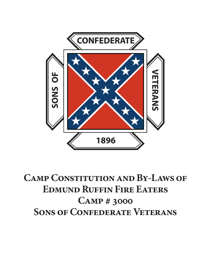

**Camp Constitution and By-Laws of Edmund Ruffin Fire Eaters Camp # 3000 Sons of Confederate Veterans**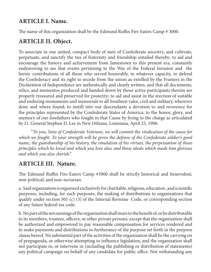## **ARTICLE I. Name.**

The name of this organization shall be the Edmund Ruffin Fire Eaters Camp # 3000.

# **ARTICLE II. Object.**

To associate in one united, compact body of men of Confederate ancestry, and cultivate, perpetuate, and sanctify the ties of fraternity and friendship entailed thereby; to aid and encourage the history and achievement from Jamestown to this present era, constantly endeavoring to see that events pertaining to the War of the Federal Invasion and the heroic contributions of all those who served honorably, in whatever capacity, to defend the Confederacy and its right to secede from the union as extolled by the Framers in the Declaration of Independence are authentically and clearly written, and that all documents, relics, and mementos produced and handed down by those active participants therein are properly treasured and preserved for posterity; to aid and assist in the erection of suitable and enduring monuments and memorials to all Southern valor, civil and military, wherever done and where found; to instill into our descendants a devotion to and reverence for the principles represented by the Confederate States of America, to the honor, glory, and memory of our forefathers who fought in that Cause by living to the charge as articulated by Lt. General Stephen D. Lee in New Orleans, Louisiana, April 25, 1906:

"*To you, Sons of Confederate Veterans, we will commit the vindication of the cause for which we fought. To your strength will be given the defense of the Confederate soldier's good name, the guardianship of his history, the emulation of his virtues, the perpetuation of those principles which he loved and which you love also, and those ideals which made him glorious and which you also cherish*."

# **ARTICLE III. Nature.**

The Edmund Ruffin Fire-Eaters Camp #3000 shall be strictly historical and benevolent, non-political, and non-sectarian.

a. Said organization is organized exclusively for charitable, religious, education , and scientific purposes, including, for such purposes, the making of distributions to organizations that qualify under section 501 (c) (3) of the Internal Revenue Code, or corresponding section of any future federal tax code.

b. No part of the net earnings of the organization shall inure to the benefit of, or be distributable to its members, trustees, officers, or other private persons, except that the organization shall be authorized and empowered to pay reasonable compensation for services rendered and to make payments and distributions in furtherance of the purpose set forth in the purpose clause hereof. No substantial part of the activities of the organization shall be the carrying on of propaganda, or otherwise attempting to influence legislation, and the organization shall not participate in, or intervene in (including the publishing or distribution of statements) any political campaign on behalf of any candidate for public office. Not withstanding any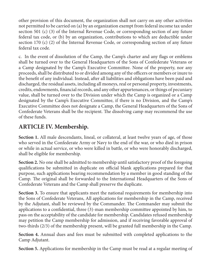other provision of this document, the organization shall not carry on any other activities not permitted to be carried on (a) by an organization exempt from federal income tax under section 501 (c) (3) of the Internal Revenue Code, or corresponding section of any future federal tax code, or (b) by an organization, contributions to which are deductible under section 170 (c) (2) of the Internal Revenue Code, or corresponding section of any future federal tax code.

c. In the event of dissolution of the Camp, the Camp's charter and any flags or emblems shall be turned over to the General Headquarters of the Sons of Confederate Veterans or a Camp designated by the Camp's Executive Committee. None of the property, nor any proceeds, shall be distributed to or divided among any of the officers or members or inure to the benefit of any individual. Instead, after all liabilities and obligations have been paid and discharged, the residual assets, including all moneys, real or personal property, investments, credits, endowments, financial records, and any other appurtenances, or things of pecuniary value, shall be turned over to the Division under which the Camp is organized or a Camp designated by the Camp's Executive Committee, if there is no Division, and the Camp's Executive Committee does not designate a Camp, the General Headquarters of the Sons of Confederate Veterans shall be the recipient. The dissolving camp may recommend the use of these funds.

# **ARTICLE IV. Membership.**

**Section 1.** All male descendants, lineal, or collateral, at least twelve years of age, of those who served in the Confederate Army or Navy to the end of the war, or who died in prison or while in actual service, or who were killed in battle, or who were honorably discharged, shall be eligible for membership.

**Section 2.** No one shall be admitted to membership until satisfactory proof of the foregoing qualifications be submitted in duplicate on official blank applications prepared for that purpose, such applications bearing recommendation by a member in good standing of the Camp. The original shall be forwarded to the International Headquarters of the Sons of Confederate Veterans and the Camp shall preserve the duplicate.

**Section 3.** To ensure that applicants meet the national requirements for membership into the Sons of Confederate Veterans, All applications for membership in the Camp, received by the Adjutant, shall be reviewed by the Commander. The Commander may submit the applications to a confidential, three (3)-man membership committee appointed by him, to pass on the acceptability of the candidate for membership. Candidates refused membership may petition the Camp membership for admission, and if receiving favorable approval of two-thirds (2/3) of the membership present, will be granted full membership in the Camp.

**Section 4.** Annual dues and fees must be submitted with completed applications to the Camp Adjutant.

**Section 5.** Applications for membership in the Camp must be read at a regular meeting of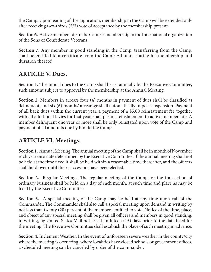the Camp. Upon reading of the application, membership in the Camp will be extended only after receiving two-thirds (2/3) vote of acceptance by the membership present.

**Section 6.** Active membership in the Camp is membership in the International organization of the Sons of Confederate Veterans.

**Section 7.** Any member in good standing in the Camp, transferring from the Camp, shall be entitled to a certificate from the Camp Adjutant stating his membership and duration thereof.

### **ARTICLE V. Dues.**

**Section 1.** The annual dues to the Camp shall be set annually by the Executive Committee, such amount subject to approval by the membership at the Annual Meeting.

**Section 2.** Members in arrears four (4) months in payment of dues shall be classified as delinquent, and six (6) months' arrearage shall automatically impose suspension. Payment of all back dues within the current year, a payment of a \$5.00 reinstatement fee together with all additional levies for that year, shall permit reinstatement to active membership. A member delinquent one year or more shall be only reinstated upon vote of the Camp and payment of all amounts due by him to the Camp.

## **ARTICLE VI. Meetings.**

**Section 1.** Annual Meeting. The annual meeting of the Camp shall be in month of November each year on a date determined by the Executive Committee. If the annual meeting shall not be held at the time fixed it shall be held within a reasonable time thereafter, and the officers shall hold over until their successors have been elected.

**Section 2.** Regular Meetings. The regular meeting of the Camp for the transaction of ordinary business shall be held on a day of each month, at such time and place as may be fixed by the Executive Committee.

**Section 3.** A special meeting of the Camp may be held at any time upon call of the Commander. The Commander shall also call a special meeting upon demand in writing by not less than twenty (20) percent of the members entitled to vote. Notice of the time, place, and object of any special meeting shall be given all officers and members in good standing, in writing, by United States Mail not less than fifteen (15) days prior to the date fixed for the meeting. The Executive Committee shall establish the place of such meeting in advance.

**Section 4.** Inclement Weather. In the event of unforeseen severe weather in the county/city where the meeting is occurring, where localities have closed schools or government offices, a scheduled meeting can be canceled by order of the commander.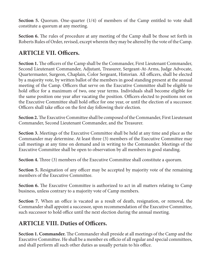**Section 5.** Quorum. One-quarter (1/4) of members of the Camp entitled to vote shall constitute a quorum at any meeting.

**Section 6.** The rules of procedure at any meeting of the Camp shall be those set forth in Roberts Rules of Order, revised, except wherein they may be altered by the vote of the Camp.

## **ARTICLE VII. Officers.**

**Section 1.** The officers of the Camp shall be the Commander, First Lieutenant Commander, Second Lieutenant Commander, Adjutant, Treasurer, Sergeant-At-Arms, Judge Advocate, Quartermaster, Surgeon, Chaplain, Color Sergeant, Historian. All officers, shall be elected by a majority vote, by written ballot of the members in good standing present at the annual meeting of the Camp. Officers that serve on the Executive Committee shall be eligible to hold office for a maximum of two, one year terms. Individuals shall become eligible for the same position one year after vacating the position. Officers elected to positions not on the Executive Committee shall hold office for one year, or until the election of a successor. Officers shall take office on the first day following their election.

**Section 2.** The Executive Committee shall be composed of the Commander, First Lieutenant Commander, Second Lieutenant Commander, and the Treasurer.

**Section 3.** Meetings of the Executive Committee shall be held at any time and place as the Commander may determine. At least three (3) members of the Executive Committee may call meetings at any time on demand and in writing to the Commander. Meetings of the Executive Committee shall be open to observation by all members in good standing.

**Section 4.** Three (3) members of the Executive Committee shall constitute a quorum.

**Section 5.** Resignation of any officer may be accepted by majority vote of the remaining members of the Executive Committee.

**Section 6.** The Executive Committee is authorized to act in all matters relating to Camp business, unless contrary to a majority vote of Camp members.

**Section 7.** When an office is vacated as a result of death, resignation, or removal, the Commander shall appoint a successor, upon recommendation of the Executive Committee, such successor to hold office until the next election during the annual meeting.

### **ARTICLE VIII. Duties of Officers.**

**Section 1. Commander.** The Commander shall preside at all meetings of the Camp and the Executive Committee. He shall be a member ex officio of all regular and special committees, and shall perform all such other duties as usually pertain to his office.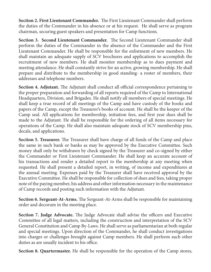**Section 2. First Lieutenant Commander.** The First Lieutenant Commander shall perform the duties of the Commander in his absence or at his request. He shall serve as program chairman, securing guest speakers and presentation for Camp functions.

**Section 3. Second Lieutenant Commander.** The Second Lieutenant Commander shall perform the duties of the Commander in the absence of the Commander and the First Lieutenant Commander. He shall be responsible for the enlistment of new members. He shall maintain an adequate supply of SCV brochures and applications to accomplish the recruitment of new members. He shall monitor membership as to dues payment and meeting attendance. He shall constantly strive for an active, growing membership. He shall prepare and distribute to the membership in good standing- a roster of members, their addresses and telephone numbers.

**Section 4. Adjutant.** The Adjutant shall conduct all official correspondence pertaining to the proper preparation and forwarding of all reports required of the Camp to International Headquarters, Division, and Brigades. He shall notify all members of special meetings. He shall keep a true record of all meetings of the Camp and have custody of the books and papers of the Camp, except the Treasurer's books of account. He shall be the keeper of the Camp seal. All applications for membership, initiation fees, and first year dues shall be made to the Adjutant. He shall be responsible for the ordering of all items necessary for operations of the Camp. He shall also maintain adequate stock of SCV membership pins, decals, and applications.

**Section 5. Treasurer.** The Treasurer shall have charge of all funds of the Camp and place the same in such bank or banks as may be approved by the Executive Committee. Such money shall only be withdrawn by check signed by the Treasurer and co-signed by either the Commander or First Lieutenant Commander. He shall keep an accurate account of his transactions and render a detailed report to the membership at any meeting when requested. He shall present a detailed report, in writing, of income and expenditures at the annual meeting. Expenses paid by the Treasurer shall have received approval by the Executive Committee. He shall be responsible for collection of dues and fees, taking proper note of the paying member, his address and other information necessary in the maintenance of Camp records and posting such information with the Adjutant.

**Section 6. Sergeant-At-Arms.** The Sergeant-At-Arms shall be responsible for maintaining order and decorum in the meeting place.

**Section 7. Judge Advocate.** The Judge Advocate shall advise the officers and Executive Committee of all legal matters, including the construction and interpretation of the SCV General Constitution and Camp By-Laws. He shall serve as parliamentarian at both regular and special meetings. Upon direction of the Commander, he shall conduct investigations into charges or challenges brought against Camp members. He shall perform such other duties as are usually incident to his office.

**Section 8. Quartermaster.** He shall be responsible for the operation of the Camp stores,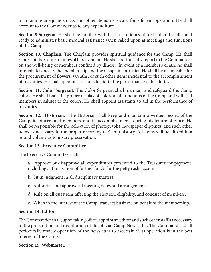maintaining adequate stocks and other items necessary for efficient operation. He shall account to the Commander as to any expenditure.

**Section 9 Surgeon.** He shall be familiar with basic techniques of first aid and shall stand ready to administer basic medical assistance when called upon at meetings and functions of the Camp.

**Section 10. Chaplain.** The Chaplain provides spiritual guidance for the Camp. He shall represent the Camp in times of bereavement. He shall periodically report to the Commander on the well-being of members confined by illness. In event of a member's death, he shall immediately notify the membership and the Chaplain-in-Chief. He shall be responsible for the procurement of flowers, wreaths, or such other items incidental to the accomplishment of his duties. He shall appoint assistants to aid in the performance of his duties.

**Section 11. Color Sergeant.** The Color Sergeant shall maintain and safeguard the Camp colors. He shall issue the proper display of colors at all functions of the Camp and will lead members in salutes to the colors. He shall appoint assistants to aid in the performance of his duties.

**Section 12. Historian.** The Historian shall keep and maintain a written record of the Camp, its officers and members, and its accomplishments during his tenure of office. He shall be responsible for the collection of photographs, newspaper clippings, and such other items as necessary in the proper recording of Camp history. All items will be affixed in a bound volume as to insure preservation.

#### **Section 13. Executive Committee.**

The Executive Committee shall:

- a. Approve or disapprove all expenditures presented to the Treasurer for payment, including authorization of further funds for the petty cash account.
- b. Sit in judgment in all disciplinary matters.
- c. Authorize and approve all meeting dates and arrangements.
- d. Rule on all questions affecting the election, eligibility, and conduct of members.
- e. When in the interest of the Camp, transact business on behalf of the membership.

#### **Section 14. Editor.**

The Commander shall, upon taking office, appoint an editor and such other staff as necessary in the preparation and distribution of the official Camp Newsletter. The Commander shall periodically review operation of the newsletter to ascertain if its operation is in the best interest of the Camp.

#### **Section 15. Webmaster.**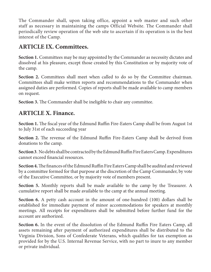The Commander shall, upon taking office, appoint a web master and such other staff as necessary in maintaining the camps Official Website. The Commander shall periodically review operation of the web site to ascertain if its operation is in the best interest of the Camp.

## **ARTICLE IX. Committees.**

**Section 1.** Committees may be may appointed by the Commander as necessity dictates and dissolved at his pleasure, except those created by this Constitution or by majority vote of the camp.

**Section 2.** Committees shall meet when called to do so by the Committee chairman. Committees shall make written reports and recommendations to the Commander when assigned duties are performed. Copies of reports shall be made available to camp members on request.

**Section 3.** The Commander shall be ineligible to chair any committee.

### **ARTICLE X. Finance.**

**Section 1.** The fiscal year of the Edmund Ruffin Fire-Eaters Camp shall be from August 1st to July 31st of each succeeding year

**Section 2.** The revenue of the Edmund Ruffin Fire-Eaters Camp shall be derived from donations to the camp.

**Section 3**. No debts shall be contracted by the Edmund Ruffin Fire Eaters Camp. Expenditures cannot exceed financial resources.

**Section 4.** The finances of the Edmund Ruffin Fire Eaters Camp shall be audited and reviewed by a committee formed for that purpose at the discretion of the Camp Commander, by vote of the Executive Committee, or by majority vote of members present.

**Section 5.** Monthly reports shall be made available to the camp by the Treasurer. A cumulative report shall be made available to the camp at the annual meeting.

**Section 6.** A petty cash account in the amount of one-hundred (100) dollars shall be established for immediate payment of minor accommodations for speakers at monthly meetings. All receipts for expenditures shall be submitted before further fund for the account are authorized.

**Section 6.** In the event of the dissolution of the Edmund Ruffin Fire Eaters Camp, all assets remaining after payment of authorized expenditures shall be distributed to the Virginia Division, Sons of Confederate Veterans, which qualifies for tax exemption as provided for by the U.S. Internal Revenue Service, with no part to inure to any member or private individual.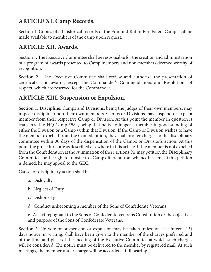# **ARTICLE XI. Camp Records.**

Section 1. Copies of all historical records of the Edmund Ruffin Fire Eaters Camp shall be made available to members of the camp upon request.

### **ARTICLE XII. Awards.**

Section 1. The Executive Committee shall be responsible for the creation and administration of a program of awards presented to Camp members and non-members deemed worthy of recognition.

**Section 2.** The Executive Committee shall review and authorize the presentation of certificates and awards, except the Commander's Commendations and Resolutions of respect, which are reserved for the Commander.

## **ARTICLE XIII. Suspension or Expulsion.**

**Section 1. Discipline:** Camps and Divisions, being the judges of their own members, may impose discipline upon their own members. Camps or Divisions may suspend or expel a member from their respective Camp or Division. At this point the member in question is transferred to HQ Camp #584, being that he is no longer a member in good standing of either the Division or a Camp within that Division. If the Camp or Division wishes to have the member expelled from the Confederation, they shall proffer charges to the disciplinary committee within 30 days of the dispensation of the Camp's or Division's action. At this point the procedures are as described elsewhere in this article. If the member is not expelled from the Confederation at the culmination of these actions, he may petition the Disciplinary Committee for the right to transfer to a Camp different from whence he came. If this petition is denied, he may appeal to the GEC.

Cause for disciplinary action shall be:

- a. Disloyalty
- b. Neglect of Duty
- c. Dishonesty
- d. Conduct unbecoming a member of the Sons of Confederate Veterans

e. An act repugnant to the Sons of Confederate Veterans Constitution or the objectives and purpose of the Sons of Confederate Veterans.

**Section 2.** No vote on suspension or expulsion may be taken unless at least fifteen (15) days notice, in writing, shall have been given to the member of the charges preferred and of the time and place of the meeting of the Executive Committee at which such charges will be considered. The notice must be delivered to the member by registered mail. At such meetings, the member under charge will be accorded a full hearing.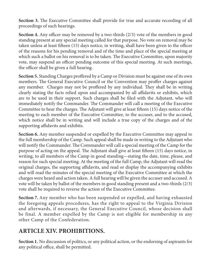**Section 3.** The Executive Committee shall provide for true and accurate recording of all proceedings of such hearings.

**Section 4.** Any officer may be removed by a two-thirds (2/3) vote of the members in good standing present at any special meeting called for that purpose. No vote on removal may be taken unless at least fifteen (15) days notice, in writing, shall have been given to the officer of the reasons for his pending removal and of the time and place of the special meeting at which such a ballot on his removal is to be taken. The Executive Committee, upon majority vote, may suspend an officer pending outcome of this special meeting. At such meetings, the officer shall be given a full hearing.

**Section 5.** Standing Charges proffered by a Camp or Division must be against one of its own members. The General Executive Council or the Convention may proffer charges against any member. Charges may not be proffered by any individual. They shall be in writing clearly stating the facts relied upon and accompanied by all affidavits or exhibits, which are to be used in their support. Such charges shall be filed with the Adjutant, who will immediately notify the Commander. The Commander will call a meeting of the Executive Committee to hear the charges. The Adjutant will give at least fifteen (15) days notice of the meeting to each member of the Executive Committee, to the accuser, and to the accused, which notice shall be in writing and will include a true copy of the charges and of the supporting affidavits and exhibits.

**Section 6.** Any member suspended or expelled by the Executive Committee may appeal to the full membership of the Camp. Such appeal shall be made in writing to the Adjutant who will notify the Commander. The Commander will call a special meeting of the Camp for the purpose of acting on the appeal. The Adjutant shall give at least fifteen (15) days notice, in writing, to all members of the Camp in good standing—stating the date, time, please, and reason for such special meeting. At the meeting of the full Camp, the Adjutant will read the original charges, the supporting affidavits, and read or display the accompanying exhibits and will read the minutes of the special meeting of the Executive Committee at which the charges were heard and action taken. A full hearing will be given the accuser and accused. A vote will be taken by ballot of the members in good standing present and a two-thirds (2/3) vote shall be required to reverse the action of the Executive Committee.

**Section 7.** Any member who has been suspended or expelled, and having exhausted the foregoing appeals procedures, has the right to appeal to the Virginia Division and afterwards, if necessary, the General Executive Council, whose decision shall be final. A member expelled by the Camp is not eligible for membership in any other Camp of the Confederation.

## **ARTICLE XIV. PROHIBITIONS.**

**Section 1.** No discussion of politics, or any political action, or the endorsing of aspirants for any political office, shall be permitted.